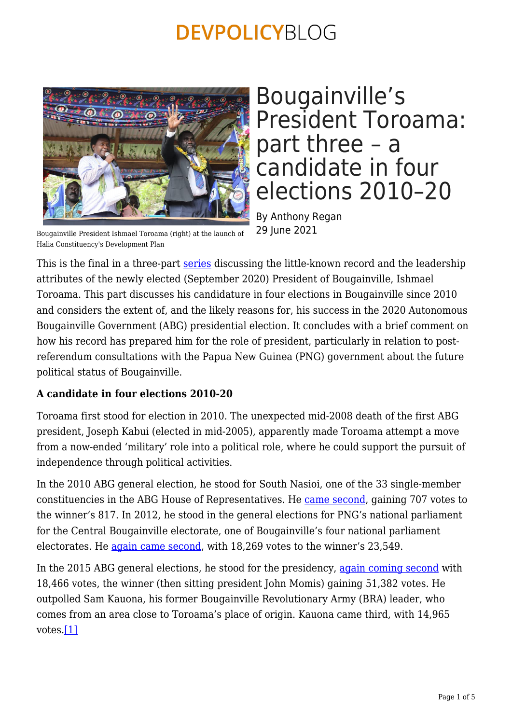

Bougainville President Ishmael Toroama (right) at the launch of Halia Constituency's Development Plan

Bougainville's President Toroama: part three – a candidate in four elections 2010–20

By Anthony Regan 29 June 2021

This is the final in a three-part [series](https://devpolicy.org/tag/ishmael-toroama/) discussing the little-known record and the leadership attributes of the newly elected (September 2020) President of Bougainville, Ishmael Toroama. This part discusses his candidature in four elections in Bougainville since 2010 and considers the extent of, and the likely reasons for, his success in the 2020 Autonomous Bougainville Government (ABG) presidential election. It concludes with a brief comment on how his record has prepared him for the role of president, particularly in relation to postreferendum consultations with the Papua New Guinea (PNG) government about the future political status of Bougainville.

### **A candidate in four elections 2010-20**

Toroama first stood for election in 2010. The unexpected mid-2008 death of the first ABG president, Joseph Kabui (elected in mid-2005), apparently made Toroama attempt a move from a now-ended 'military' role into a political role, where he could support the pursuit of independence through political activities.

In the 2010 ABG general election, he stood for South Nasioi, one of the 33 single-member constituencies in the ABG House of Representatives. He [came second](http://www.bougainville-copper.eu/mediapool/59/599247/data/Bougainville_News_Book/Bougainville_News_Book_2010.pdf), gaining 707 votes to the winner's 817. In 2012, he stood in the general elections for PNG's national parliament for the Central Bougainville electorate, one of Bougainville's four national parliament electorates. He [again came second](https://www.researchgate.net/publication/283423235_The_Gangs_of_Bougainville_Seven_Men_Guns_and_a_Copper_Mine#fullTextFileContent), with 18,269 votes to the winner's 23,549.

<span id="page-0-0"></span>In the 2015 ABG general elections, he stood for the presidency, [again coming second](https://bougainville.typepad.com/newdawn/2015/06/sent-from-samsung-mobile.html) with 18,466 votes, the winner (then sitting president John Momis) gaining 51,382 votes. He outpolled Sam Kauona, his former Bougainville Revolutionary Army (BRA) leader, who comes from an area close to Toroama's place of origin. Kauona came third, with 14,965 votes.[\[1\]](#page-3-0)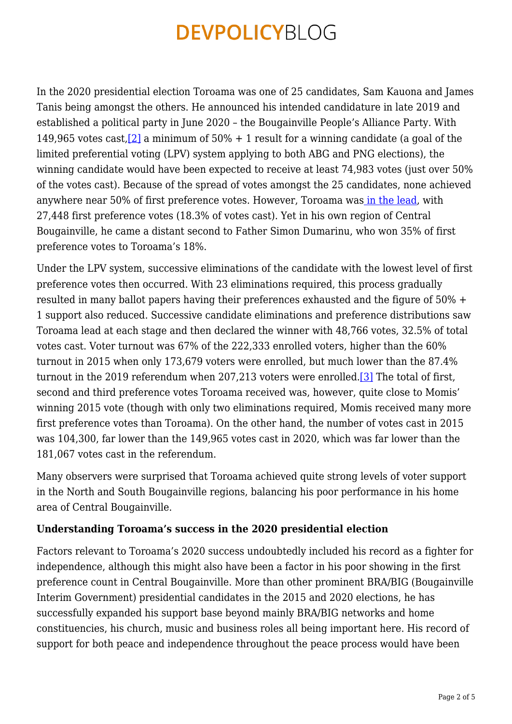<span id="page-1-0"></span>In the 2020 presidential election Toroama was one of 25 candidates, Sam Kauona and James Tanis being amongst the others. He announced his intended candidature in late 2019 and established a political party in June 2020 – the Bougainville People's Alliance Party. With 149,965 votes cast, [\[2\]](#page-3-1) a minimum of  $50\% + 1$  result for a winning candidate (a goal of the limited preferential voting (LPV) system applying to both ABG and PNG elections), the winning candidate would have been expected to receive at least 74,983 votes (just over 50%) of the votes cast). Because of the spread of votes amongst the 25 candidates, none achieved anywhere near 50% of first preference votes. However, Toroama wa[s in the lead,](https://www.facebook.com/NBCNewsPNG/posts/abg-presidential-eliminations-startsthe-counting-for-the-bougainville-presidenti/1234225746931010/) with 27,448 first preference votes (18.3% of votes cast). Yet in his own region of Central Bougainville, he came a distant second to Father Simon Dumarinu, who won 35% of first preference votes to Toroama's 18%.

Under the LPV system, successive eliminations of the candidate with the lowest level of first preference votes then occurred. With 23 eliminations required, this process gradually resulted in many ballot papers having their preferences exhausted and the figure of 50% + 1 support also reduced. Successive candidate eliminations and preference distributions saw Toroama lead at each stage and then declared the winner with 48,766 votes, 32.5% of total votes cast. Voter turnout was 67% of the 222,333 enrolled voters, higher than the 60% turnout in 2015 when only 173,679 voters were enrolled, but much lower than the 87.4% turnout in the 2019 referendum when 207,213 voters were enrolled.[\[3\]](#page-3-2) The total of first, second and third preference votes Toroama received was, however, quite close to Momis' winning 2015 vote (though with only two eliminations required, Momis received many more first preference votes than Toroama). On the other hand, the number of votes cast in 2015 was 104,300, far lower than the 149,965 votes cast in 2020, which was far lower than the 181,067 votes cast in the referendum.

<span id="page-1-1"></span>Many observers were surprised that Toroama achieved quite strong levels of voter support in the North and South Bougainville regions, balancing his poor performance in his home area of Central Bougainville.

### **Understanding Toroama's success in the 2020 presidential election**

Factors relevant to Toroama's 2020 success undoubtedly included his record as a fighter for independence, although this might also have been a factor in his poor showing in the first preference count in Central Bougainville. More than other prominent BRA/BIG (Bougainville Interim Government) presidential candidates in the 2015 and 2020 elections, he has successfully expanded his support base beyond mainly BRA/BIG networks and home constituencies, his church, music and business roles all being important here. His record of support for both peace and independence throughout the peace process would have been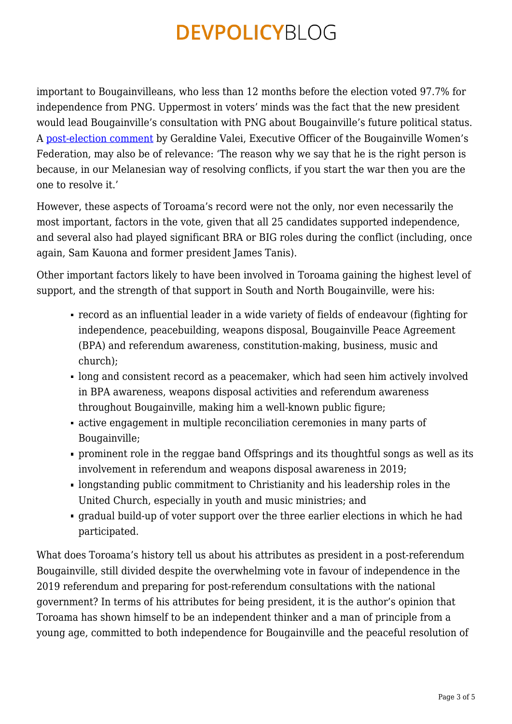important to Bougainvilleans, who less than 12 months before the election voted 97.7% for independence from PNG. Uppermost in voters' minds was the fact that the new president would lead Bougainville's consultation with PNG about Bougainville's future political status. A [post-election comment](http://www.ipsnews.net/2020/09/papua-new-guinea-bougainville-elects-former-revolutionary-leader-as-president-ahead-of-tough-talks-on-independence/) by Geraldine Valei, Executive Officer of the Bougainville Women's Federation, may also be of relevance: 'The reason why we say that he is the right person is because, in our Melanesian way of resolving conflicts, if you start the war then you are the one to resolve it.'

However, these aspects of Toroama's record were not the only, nor even necessarily the most important, factors in the vote, given that all 25 candidates supported independence, and several also had played significant BRA or BIG roles during the conflict (including, once again, Sam Kauona and former president James Tanis).

Other important factors likely to have been involved in Toroama gaining the highest level of support, and the strength of that support in South and North Bougainville, were his:

- record as an influential leader in a wide variety of fields of endeavour (fighting for independence, peacebuilding, weapons disposal, Bougainville Peace Agreement (BPA) and referendum awareness, constitution-making, business, music and church);
- long and consistent record as a peacemaker, which had seen him actively involved in BPA awareness, weapons disposal activities and referendum awareness throughout Bougainville, making him a well-known public figure;
- active engagement in multiple reconciliation ceremonies in many parts of Bougainville;
- prominent role in the reggae band Offsprings and its thoughtful songs as well as its involvement in referendum and weapons disposal awareness in 2019;
- longstanding public commitment to Christianity and his leadership roles in the United Church, especially in youth and music ministries; and
- gradual build-up of voter support over the three earlier elections in which he had participated.

What does Toroama's history tell us about his attributes as president in a post-referendum Bougainville, still divided despite the overwhelming vote in favour of independence in the 2019 referendum and preparing for post-referendum consultations with the national government? In terms of his attributes for being president, it is the author's opinion that Toroama has shown himself to be an independent thinker and a man of principle from a young age, committed to both independence for Bougainville and the peaceful resolution of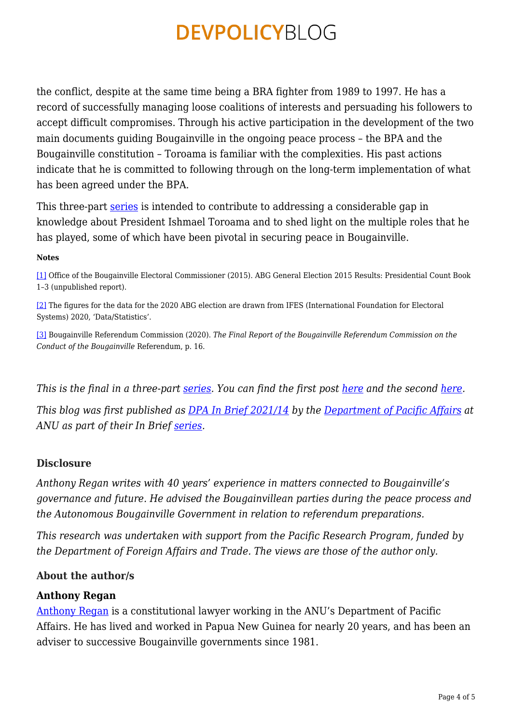the conflict, despite at the same time being a BRA fighter from 1989 to 1997. He has a record of successfully managing loose coalitions of interests and persuading his followers to accept difficult compromises. Through his active participation in the development of the two main documents guiding Bougainville in the ongoing peace process – the BPA and the Bougainville constitution – Toroama is familiar with the complexities. His past actions indicate that he is committed to following through on the long-term implementation of what has been agreed under the BPA.

This three-part [series](https://devpolicy.org/tag/ishmael-toroama/) is intended to contribute to addressing a considerable gap in knowledge about President Ishmael Toroama and to shed light on the multiple roles that he has played, some of which have been pivotal in securing peace in Bougainville.

#### **Notes**

<span id="page-3-0"></span>[\[1\]](#page-0-0) Office of the Bougainville Electoral Commissioner (2015). ABG General Election 2015 Results: Presidential Count Book 1–3 (unpublished report).

<span id="page-3-1"></span>[\[2\]](#page-1-0) The figures for the data for the 2020 ABG election are drawn from IFES (International Foundation for Electoral Systems) 2020, 'Data/Statistics'.

<span id="page-3-2"></span>[\[3\]](#page-1-1) Bougainville Referendum Commission (2020). *The Final Report of the Bougainville Referendum Commission on the Conduct of the Bougainville* Referendum, p. 16.

*This is the final in a three-part [series.](https://devpolicy.org/tag/ishmael-toroama/) You can find the first post [here](https://devpolicy.org/bougainvilles-president-toroama-part-one-a-little-known-new-leader-20210629) and the second [here.](https://devpolicy.org/bougainvilles-president-toroama-part-two-business-and-music-activities-20210629)*

*This blog was first published as [DPA In Brief 2021/14](http://dpa.bellschool.anu.edu.au/experts-publications/publications/8008/ib-202114-assessment-bougainvilles-president-toroama-part) by the [Department of Pacific Affairs](http://dpa.bellschool.anu.edu.au/publications) at ANU as part of their In Brief [series](http://dpa.bellschool.anu.edu.au/ssgm-research-communication/brief-series).*

### **Disclosure**

*Anthony Regan writes with 40 years' experience in matters connected to Bougainville's governance and future. He advised the Bougainvillean parties during the peace process and the Autonomous Bougainville Government in relation to referendum preparations.*

*This research was undertaken with support from the Pacific Research Program, funded by the Department of Foreign Affairs and Trade. The views are those of the author only.*

### **About the author/s**

### **Anthony Regan**

[Anthony Regan](http://dpa.bellschool.anu.edu.au/experts-publications/experts/anthony-regan) is a constitutional lawyer working in the ANU's Department of Pacific Affairs. He has lived and worked in Papua New Guinea for nearly 20 years, and has been an adviser to successive Bougainville governments since 1981.